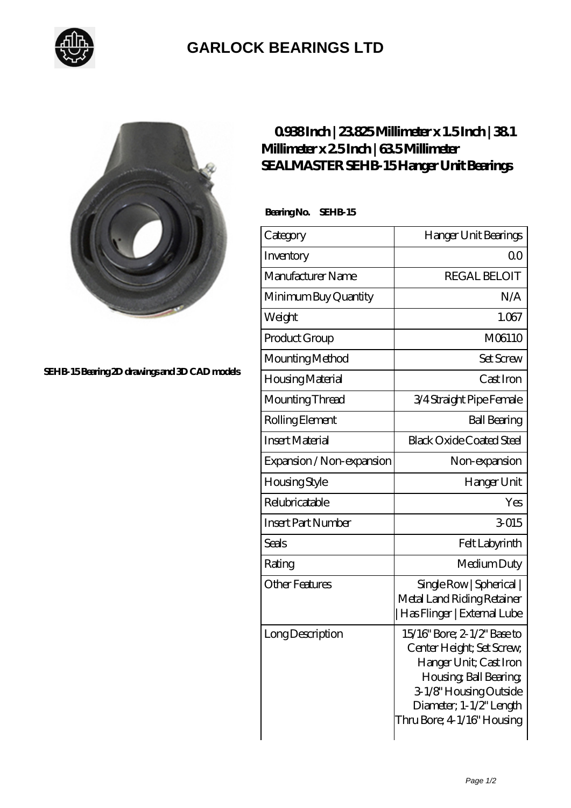

## **[GARLOCK BEARINGS LTD](https://m.letterstopriests.com)**



**[SEHB-15 Bearing 2D drawings and 3D CAD models](https://m.letterstopriests.com/pic-188973.html)**

## **[0.938 Inch | 23.825 Millimeter x 1.5 Inch | 38.1](https://m.letterstopriests.com/am-188973-sealmaster-sehb-15-hanger-unit-bearings.html) [Millimeter x 2.5 Inch | 63.5 Millimeter](https://m.letterstopriests.com/am-188973-sealmaster-sehb-15-hanger-unit-bearings.html) [SEALMASTER SEHB-15 Hanger Unit Bearings](https://m.letterstopriests.com/am-188973-sealmaster-sehb-15-hanger-unit-bearings.html)**

 **Bearing No. SEHB-15**

| Category                  | Hanger Unit Bearings                                                                                                                                                                            |
|---------------------------|-------------------------------------------------------------------------------------------------------------------------------------------------------------------------------------------------|
| Inventory                 | Q0                                                                                                                                                                                              |
| Manufacturer Name         | <b>REGAL BELOIT</b>                                                                                                                                                                             |
| Minimum Buy Quantity      | N/A                                                                                                                                                                                             |
| Weight                    | 1.067                                                                                                                                                                                           |
| Product Group             | M06110                                                                                                                                                                                          |
| Mounting Method           | <b>Set Screw</b>                                                                                                                                                                                |
| Housing Material          | Cast Iron                                                                                                                                                                                       |
| Mounting Thread           | 3/4 Straight Pipe Female                                                                                                                                                                        |
| Rolling Element           | <b>Ball Bearing</b>                                                                                                                                                                             |
| <b>Insert Material</b>    | <b>Black Oxide Coated Steel</b>                                                                                                                                                                 |
| Expansion / Non-expansion | Non-expansion                                                                                                                                                                                   |
| Housing Style             | Hanger Unit                                                                                                                                                                                     |
| Relubricatable            | Yes                                                                                                                                                                                             |
| <b>Insert Part Number</b> | 3015                                                                                                                                                                                            |
| Seals                     | Felt Labyrinth                                                                                                                                                                                  |
| Rating                    | Medium Duty                                                                                                                                                                                     |
| <b>Other Features</b>     | Single Row   Spherical  <br>Metal Land Riding Retainer<br>  Has Flinger   External Lube                                                                                                         |
| Long Description          | 15/16" Bore; 2-1/2" Base to<br>Center Height; Set Screw,<br>Hanger Unit; Cast Iron<br>Housing, Ball Bearing,<br>3-1/8" Housing Outside<br>Diameter; 1-1/2" Length<br>Thru Bore; 4 1/16" Housing |